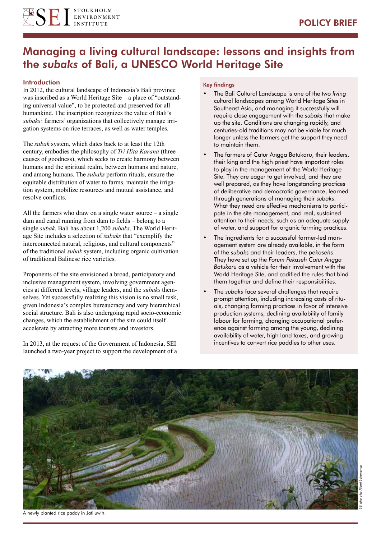

# Managing a living cultural landscape: lessons and insights from the *subaks* of Bali, a UNESCO World Heritage Site

## **Introduction**

In 2012, the cultural landscape of Indonesia's Bali province was inscribed as a World Heritage Site – a place of "outstanding universal value", to be protected and preserved for all humankind. The inscription recognizes the value of Bali's *subaks:* farmers' organizations that collectively manage irrigation systems on rice terraces, as well as water temples.

The *subak* system, which dates back to at least the 12th century, embodies the philosophy of *Tri Hita Karana* (three causes of goodness), which seeks to create harmony between humans and the spiritual realm, between humans and nature, and among humans. The *subaks* perform rituals, ensure the equitable distribution of water to farms, maintain the irrigation system, mobilize resources and mutual assistance, and resolve conflicts.

All the farmers who draw on a single water source  $-$  a single dam and canal running from dam to fields – belong to a single *subak*. Bali has about 1,200 *subaks*. The World Heritage Site includes a selection of *subaks* that "exemplify the interconnected natural, religious, and cultural components" of the traditional *subak* system, including organic cultivation of traditional Balinese rice varieties.

Proponents of the site envisioned a broad, participatory and inclusive management system, involving government agencies at different levels, village leaders, and the *subaks* themselves. Yet successfully realizing this vision is no small task, given Indonesia's complex bureaucracy and very hierarchical social structure. Bali is also undergoing rapid socio-economic changes, which the establishment of the site could itself accelerate by attracting more tourists and investors.

In 2013, at the request of the Government of Indonesia, SEI launched a two-year project to support the development of a

#### Key findings

- The Bali Cultural Landscape is one of the two *living* cultural landscapes among World Heritage Sites in Southeast Asia, and managing it successfully will require close engagement with the *subaks* that make up the site. Conditions are changing rapidly, and centuries-old traditions may not be viable for much longer unless the farmers get the support they need to maintain them.
- The farmers of Catur Angga Batukaru, their leaders, their king and the high priest have important roles to play in the management of the World Heritage Site. They are eager to get involved, and they are well prepared, as they have longstanding practices of deliberative and democratic governance, learned through generations of managing their *subaks*. What they need are effective mechanisms to participate in the site management, and real, sustained attention to their needs, such as an adequate supply of water, and support for organic farming practices.
- The ingredients for a successful farmer-led management system are already available, in the form of the *subaks* and their leaders, the *pekasehs*. They have set up the *Forum Pekaseh Catur Angga Batukaru* as a vehicle for their involvement with the World Heritage Site, and codified the rules that bind them together and define their responsibilities.
- The *subaks* face several challenges that require prompt attention, including increasing costs of rituals, changing farming practices in favor of intensive production systems, declining availability of family labour for farming, changing occupational preference against farming among the young, declining availability of water, high land taxes, and growing incentives to convert rice paddies to other uses.

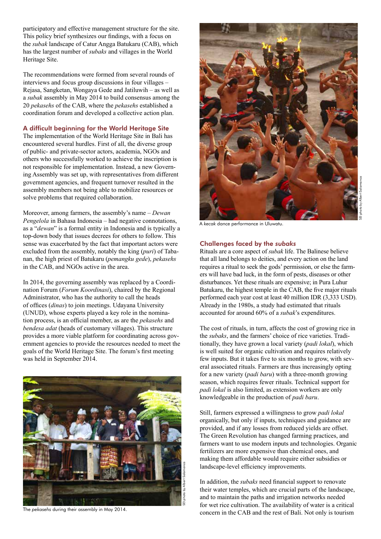participatory and effective management structure for the site. This policy brief synthesizes our findings, with a focus on the *subak* landscape of Catur Angga Batukaru (CAB), which has the largest number of *subaks* and villages in the World Heritage Site.

The recommendations were formed from several rounds of interviews and focus group discussions in four villages – Rejasa, Sangketan, Wongaya Gede and Jatiluwih – as well as a *subak* assembly in May 2014 to build consensus among the 20 *pekasehs* of the CAB, where the *pekasehs* established a coordination forum and developed a collective action plan.

## A difficult beginning for the World Heritage Site

The implementation of the World Heritage Site in Bali has encountered several hurdles. First of all, the diverse group of public- and private-sector actors, academia, NGOs and others who successfully worked to achieve the inscription is not responsible for implementation. Instead, a new Governing Assembly was set up, with representatives from different government agencies, and frequent turnover resulted in the assembly members not being able to mobilize resources or solve problems that required collaboration.

Moreover, among farmers, the assembly's name – *Dewan Pengelola* in Bahasa Indonesia – had negative connotations, as a "*dewan*" is a formal entity in Indonesia and is typically a top-down body that issues decrees for others to follow. This sense was exacerbated by the fact that important actors were excluded from the assembly, notably the king (*puri*) of Tabanan, the high priest of Batukaru (*pemangku gede*), *pekasehs* in the CAB, and NGOs active in the area.

In 2014, the governing assembly was replaced by a Coordination Forum (*Forum Koordinasi*), chaired by the Regional Administrator, who has the authority to call the heads of offices (*dinas*) to join meetings. Udayana University (UNUD), whose experts played a key role in the nomination process, is an official member, as are the *pekasehs* and *bendesa adat* (heads of customary villages). This structure provides a more viable platform for coordinating across government agencies to provide the resources needed to meet the goals of the World Heritage Site. The forum's first meeting was held in September 2014.





SEI photo by Albert Salamanca

A *kecak* dance performance in Uluwatu.

#### Challenges faced by the *subaks*

Rituals are a core aspect of *subak* life. The Balinese believe that all land belongs to deities, and every action on the land requires a ritual to seek the gods' permission, or else the farmers will have bad luck, in the form of pests, diseases or other disturbances. Yet these rituals are expensive; in Pura Luhur Batukaru, the highest temple in the CAB, the five major rituals performed each year cost at least 40 million IDR (3,333 USD). Already in the 1980s, a study had estimated that rituals accounted for around 60% of a *subak*'s expenditures.

The cost of rituals, in turn, affects the cost of growing rice in the *subaks*, and the farmers' choice of rice varieties. Traditionally, they have grown a local variety (*padi lokal*), which is well suited for organic cultivation and requires relatively few inputs. But it takes five to six months to grow, with several associated rituals. Farmers are thus increasingly opting for a new variety (*padi baru*) with a three-month growing season, which requires fewer rituals. Technical support for *padi lokal* is also limited, as extension workers are only knowledgeable in the production of *padi baru*.

Still, farmers expressed a willingness to grow *padi lokal* organically, but only if inputs, techniques and guidance are provided, and if any losses from reduced yields are offset. The Green Revolution has changed farming practices, and farmers want to use modern inputs and technologies. Organic fertilizers are more expensive than chemical ones, and making them affordable would require either subsidies or landscape-level efficiency improvements.

In addition, the *subaks* need financial support to renovate their water temples, which are crucial parts of the landscape, and to maintain the paths and irrigation networks needed for wet rice cultivation. The availability of water is a critical The pekasehs during their assembly in May 2014.<br>
concern in the CAB and the rest of Bali. Not only is tourism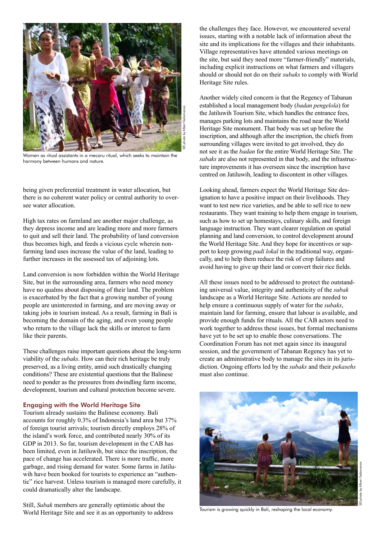

Women as ritual assistants in a mecaru ritual, which seeks to maintain the harmony between humans and nature.

being given preferential treatment in water allocation, but there is no coherent water policy or central authority to oversee water allocation.

High tax rates on farmland are another major challenge, as they depress income and are leading more and more farmers to quit and sell their land. The probability of land conversion thus becomes high, and feeds a vicious cycle wherein nonfarming land uses increase the value of the land, leading to further increases in the assessed tax of adjoining lots.

Land conversion is now forbidden within the World Heritage Site, but in the surrounding area, farmers who need money have no qualms about disposing of their land. The problem is exacerbated by the fact that a growing number of young people are uninterested in farming, and are moving away or taking jobs in tourism instead. As a result, farming in Bali is becoming the domain of the aging, and even young people who return to the village lack the skills or interest to farm like their parents.

These challenges raise important questions about the long-term viability of the *subaks*. How can their rich heritage be truly preserved, as a living entity, amid such drastically changing conditions? These are existential questions that the Balinese need to ponder as the pressures from dwindling farm income, development, tourism and cultural protection become severe.

## Engaging with the World Heritage Site

Tourism already sustains the Balinese economy. Bali accounts for roughly 0.3% of Indonesia's land area but 37% of foreign tourist arrivals; tourism directly employs 28% of the island's work force, and contributed nearly 30% of its GDP in 2013. So far, tourism development in the CAB has been limited, even in Jatiluwih, but since the inscription, the pace of change has accelerated. There is more traffic, more garbage, and rising demand for water. Some farms in Jatiluwih have been booked for tourists to experience an "authentic" rice harvest. Unless tourism is managed more carefully, it could dramatically alter the landscape.

Still, *Subak* members are generally optimistic about the World Heritage Site and see it as an opportunity to address the challenges they face. However, we encountered several issues, starting with a notable lack of information about the site and its implications for the villages and their inhabitants. Village representatives have attended various meetings on the site, but said they need more "farmer-friendly" materials, including explicit instructions on what farmers and villagers should or should not do on their *subaks* to comply with World Heritage Site rules.

Another widely cited concern is that the Regency of Tabanan established a local management body (*badan pengelola*) for the Jatiluwih Tourism Site, which handles the entrance fees, manages parking lots and maintains the road near the World Heritage Site monument. That body was set up before the inscription, and although after the inscription, the chiefs from surrounding villages were invited to get involved, they do not see it as the *badan* for the entire World Heritage Site. The *subaks* are also not represented in that body, and the infrastructure improvements it has overseen since the inscription have centred on Jatiluwih, leading to discontent in other villages.

Looking ahead, farmers expect the World Heritage Site designation to have a positive impact on their livelihoods. They want to test new rice varieties, and be able to sell rice to new restaurants. They want training to help them engage in tourism, such as how to set up homestays, culinary skills, and foreign language instruction. They want clearer regulation on spatial planning and land conversion, to control development around the World Heritage Site. And they hope for incentives or support to keep growing *padi lokal* in the traditional way, organically, and to help them reduce the risk of crop failures and avoid having to give up their land or convert their rice fields.

All these issues need to be addressed to protect the outstanding universal value, integrity and authenticity of the *subak* landscape as a World Heritage Site. Actions are needed to help ensure a continuous supply of water for the *subaks*, maintain land for farming, ensure that labour is available, and provide enough funds for rituals. All the CAB actors need to work together to address these issues, but formal mechanisms have yet to be set up to enable those conversations. The Coordination Forum has not met again since its inaugural session, and the government of Tabanan Regency has yet to create an administrative body to manage the sites in its jurisdiction. Ongoing efforts led by the *subaks* and their *pekasehs* must also continue.



Tourism is growing quickly in Bali, reshaping the local economy.